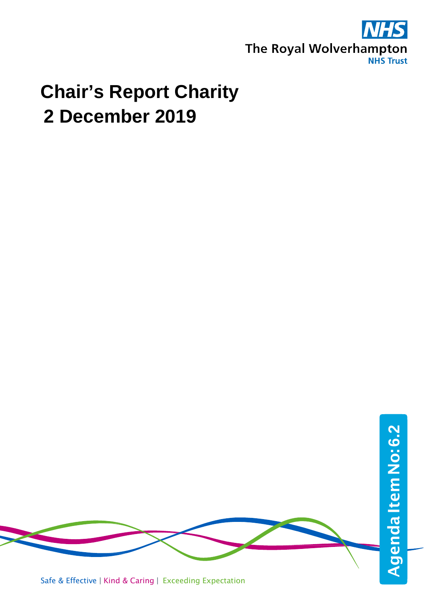

## **Chair's Report Charity 2 December 2019**

Agenda Item No: 6.2 AgendaItemNo:**6.2**Safe & Effective | Kind & Caring | Exceeding Expectation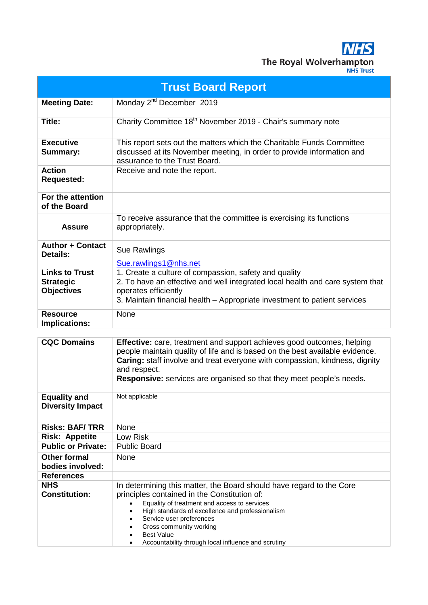**NHS** The Royal Wolverhampton

| ш |  |    |   |  |
|---|--|----|---|--|
|   |  | ır | w |  |
| ᠁ |  |    |   |  |
|   |  |    |   |  |

| <b>Trust Board Report</b>                                      |                                                                                                                                                                                                                                                                                                                                                                                                                 |  |  |  |  |
|----------------------------------------------------------------|-----------------------------------------------------------------------------------------------------------------------------------------------------------------------------------------------------------------------------------------------------------------------------------------------------------------------------------------------------------------------------------------------------------------|--|--|--|--|
| <b>Meeting Date:</b>                                           | Monday 2 <sup>nd</sup> December 2019                                                                                                                                                                                                                                                                                                                                                                            |  |  |  |  |
| Title:                                                         | Charity Committee 18 <sup>th</sup> November 2019 - Chair's summary note                                                                                                                                                                                                                                                                                                                                         |  |  |  |  |
| <b>Executive</b><br><b>Summary:</b>                            | This report sets out the matters which the Charitable Funds Committee<br>discussed at its November meeting, in order to provide information and<br>assurance to the Trust Board.                                                                                                                                                                                                                                |  |  |  |  |
| <b>Action</b><br>Requested:                                    | Receive and note the report.                                                                                                                                                                                                                                                                                                                                                                                    |  |  |  |  |
| For the attention<br>of the Board                              |                                                                                                                                                                                                                                                                                                                                                                                                                 |  |  |  |  |
| <b>Assure</b>                                                  | To receive assurance that the committee is exercising its functions<br>appropriately.                                                                                                                                                                                                                                                                                                                           |  |  |  |  |
| <b>Author + Contact</b><br>Details:                            | <b>Sue Rawlings</b><br>Sue.rawlings1@nhs.net                                                                                                                                                                                                                                                                                                                                                                    |  |  |  |  |
| <b>Links to Trust</b><br><b>Strategic</b><br><b>Objectives</b> | 1. Create a culture of compassion, safety and quality<br>2. To have an effective and well integrated local health and care system that<br>operates efficiently<br>3. Maintain financial health - Appropriate investment to patient services                                                                                                                                                                     |  |  |  |  |
| <b>Resource</b><br><b>Implications:</b>                        | None                                                                                                                                                                                                                                                                                                                                                                                                            |  |  |  |  |
|                                                                |                                                                                                                                                                                                                                                                                                                                                                                                                 |  |  |  |  |
| <b>CQC Domains</b>                                             | <b>Effective:</b> care, treatment and support achieves good outcomes, helping<br>people maintain quality of life and is based on the best available evidence.<br>Caring: staff involve and treat everyone with compassion, kindness, dignity<br>and respect.<br><b>Responsive:</b> services are organised so that they meet people's needs.                                                                     |  |  |  |  |
| <b>Equality and</b><br><b>Diversity Impact</b>                 | Not applicable                                                                                                                                                                                                                                                                                                                                                                                                  |  |  |  |  |
| <b>Risks: BAF/TRR</b>                                          | None                                                                                                                                                                                                                                                                                                                                                                                                            |  |  |  |  |
| <b>Risk: Appetite</b>                                          | Low Risk                                                                                                                                                                                                                                                                                                                                                                                                        |  |  |  |  |
| <b>Public or Private:</b>                                      | <b>Public Board</b>                                                                                                                                                                                                                                                                                                                                                                                             |  |  |  |  |
| <b>Other formal</b><br>bodies involved:                        | None                                                                                                                                                                                                                                                                                                                                                                                                            |  |  |  |  |
| <b>References</b>                                              |                                                                                                                                                                                                                                                                                                                                                                                                                 |  |  |  |  |
| <b>NHS</b><br><b>Constitution:</b>                             | In determining this matter, the Board should have regard to the Core<br>principles contained in the Constitution of:<br>Equality of treatment and access to services<br>High standards of excellence and professionalism<br>$\bullet$<br>Service user preferences<br>$\bullet$<br>Cross community working<br>$\bullet$<br><b>Best Value</b><br>$\bullet$<br>Accountability through local influence and scrutiny |  |  |  |  |